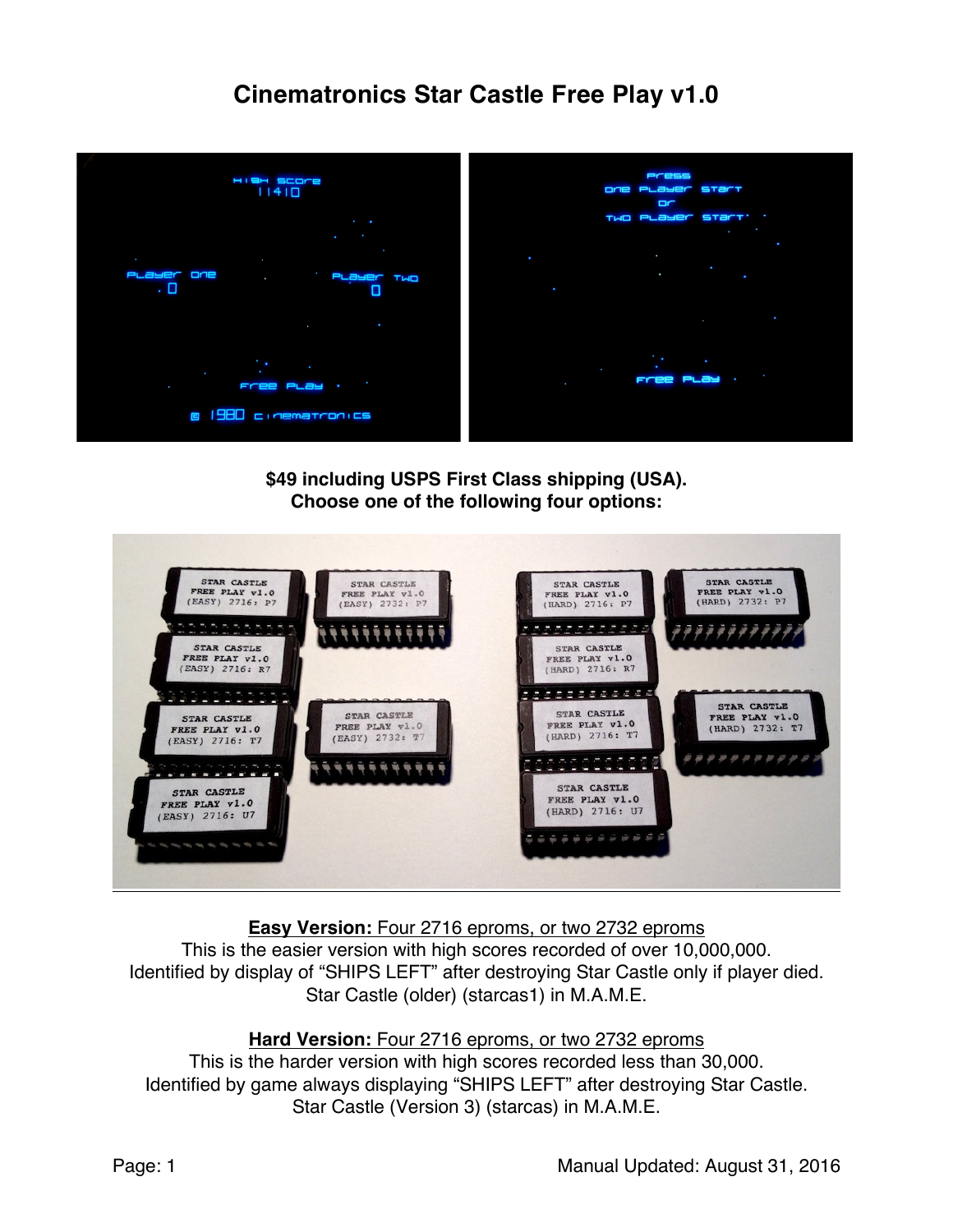# **Cinematronics Star Castle Free Play v1.0**



**\$49 including USPS First Class shipping (USA). Choose one of the following four options:**



**Easy Version:** Four 2716 eproms, or two 2732 eproms

This is the easier version with high scores recorded of over 10,000,000. Identified by display of "SHIPS LEFT" after destroying Star Castle only if player died. Star Castle (older) (starcas1) in M.A.M.E.

## **Hard Version:** Four 2716 eproms, or two 2732 eproms

This is the harder version with high scores recorded less than 30,000. Identified by game always displaying "SHIPS LEFT" after destroying Star Castle. Star Castle (Version 3) (starcas) in M.A.M.E.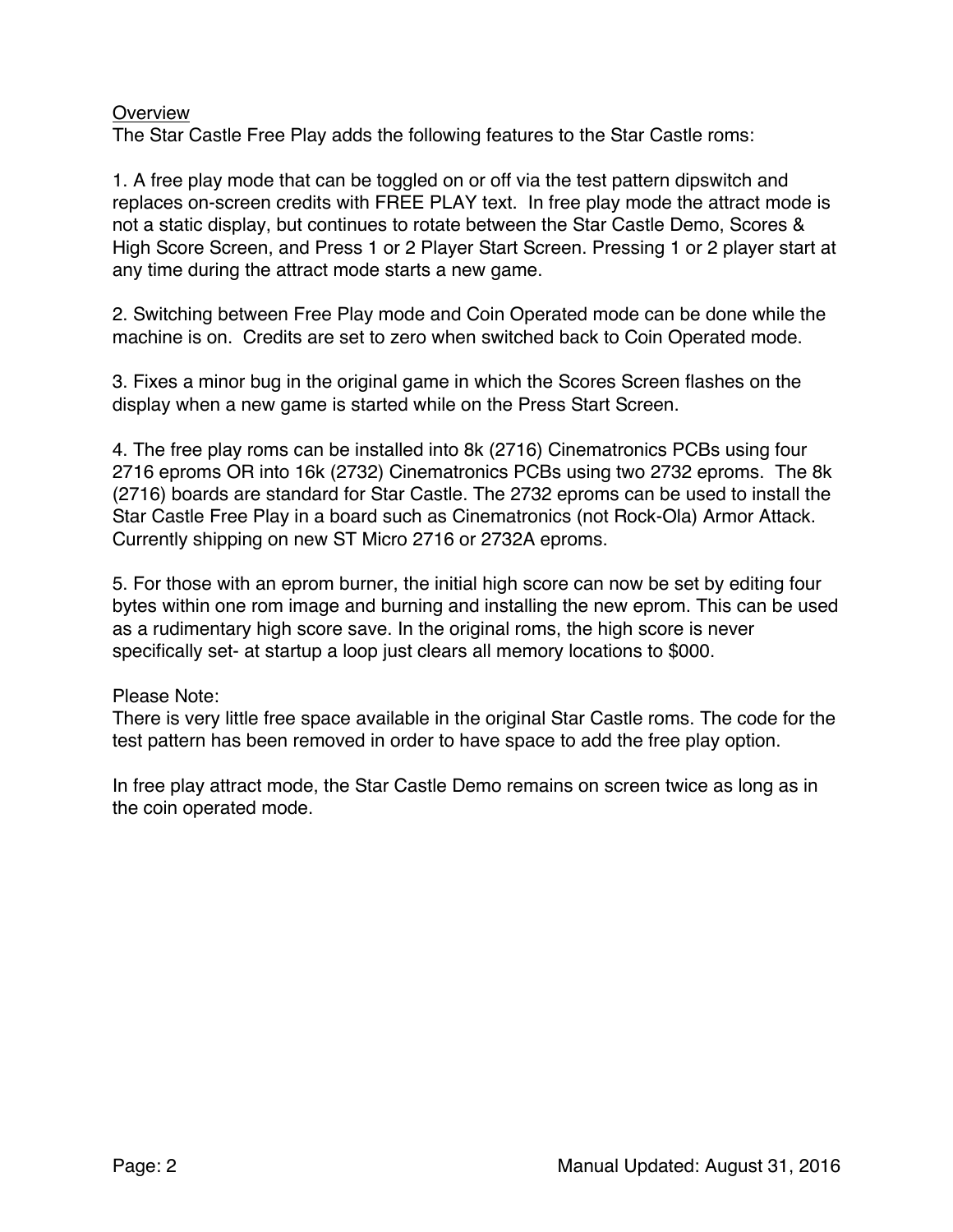#### **Overview**

The Star Castle Free Play adds the following features to the Star Castle roms:

1. A free play mode that can be toggled on or off via the test pattern dipswitch and replaces on-screen credits with FREE PLAY text. In free play mode the attract mode is not a static display, but continues to rotate between the Star Castle Demo, Scores & High Score Screen, and Press 1 or 2 Player Start Screen. Pressing 1 or 2 player start at any time during the attract mode starts a new game.

2. Switching between Free Play mode and Coin Operated mode can be done while the machine is on. Credits are set to zero when switched back to Coin Operated mode.

3. Fixes a minor bug in the original game in which the Scores Screen flashes on the display when a new game is started while on the Press Start Screen.

4. The free play roms can be installed into 8k (2716) Cinematronics PCBs using four 2716 eproms OR into 16k (2732) Cinematronics PCBs using two 2732 eproms. The 8k (2716) boards are standard for Star Castle. The 2732 eproms can be used to install the Star Castle Free Play in a board such as Cinematronics (not Rock-Ola) Armor Attack. Currently shipping on new ST Micro 2716 or 2732A eproms.

5. For those with an eprom burner, the initial high score can now be set by editing four bytes within one rom image and burning and installing the new eprom. This can be used as a rudimentary high score save. In the original roms, the high score is never specifically set- at startup a loop just clears all memory locations to \$000.

#### Please Note:

There is very little free space available in the original Star Castle roms. The code for the test pattern has been removed in order to have space to add the free play option.

In free play attract mode, the Star Castle Demo remains on screen twice as long as in the coin operated mode.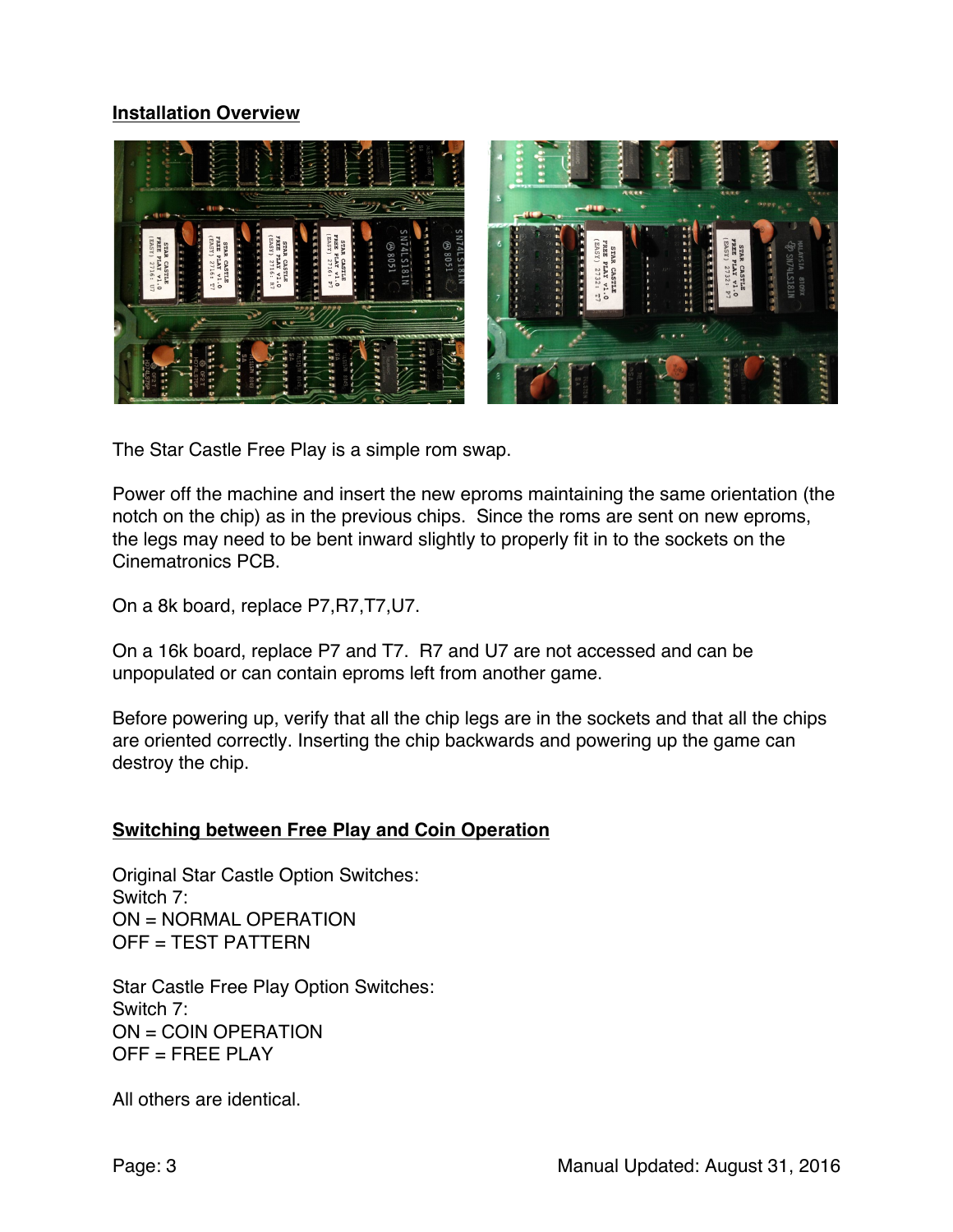## **Installation Overview**



The Star Castle Free Play is a simple rom swap.

Power off the machine and insert the new eproms maintaining the same orientation (the notch on the chip) as in the previous chips. Since the roms are sent on new eproms, the legs may need to be bent inward slightly to properly fit in to the sockets on the Cinematronics PCB.

On a 8k board, replace P7,R7,T7,U7.

On a 16k board, replace P7 and T7. R7 and U7 are not accessed and can be unpopulated or can contain eproms left from another game.

Before powering up, verify that all the chip legs are in the sockets and that all the chips are oriented correctly. Inserting the chip backwards and powering up the game can destroy the chip.

#### **Switching between Free Play and Coin Operation**

Original Star Castle Option Switches: Switch 7: ON = NORMAL OPERATION OFF = TEST PATTERN

Star Castle Free Play Option Switches: Switch 7: ON = COIN OPERATION OFF = FREE PLAY

All others are identical.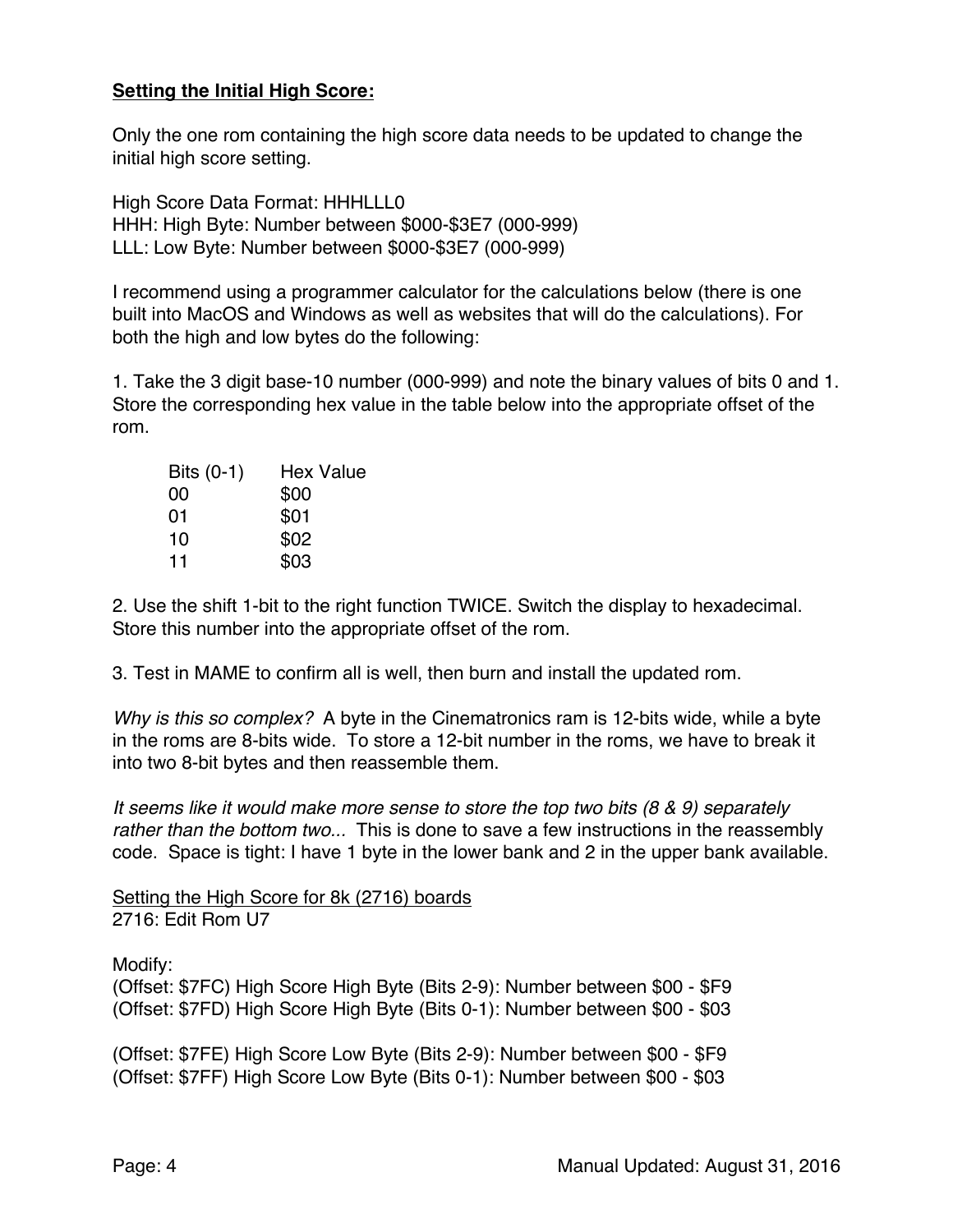## **Setting the Initial High Score:**

Only the one rom containing the high score data needs to be updated to change the initial high score setting.

High Score Data Format: HHHLLL0 HHH: High Byte: Number between \$000-\$3E7 (000-999) LLL: Low Byte: Number between \$000-\$3E7 (000-999)

I recommend using a programmer calculator for the calculations below (there is one built into MacOS and Windows as well as websites that will do the calculations). For both the high and low bytes do the following:

1. Take the 3 digit base-10 number (000-999) and note the binary values of bits 0 and 1. Store the corresponding hex value in the table below into the appropriate offset of the rom.

| <b>Hex Value</b> |
|------------------|
| \$00             |
| \$01             |
| \$02             |
| \$03             |
|                  |

2. Use the shift 1-bit to the right function TWICE. Switch the display to hexadecimal. Store this number into the appropriate offset of the rom.

3. Test in MAME to confirm all is well, then burn and install the updated rom.

*Why is this so complex?* A byte in the Cinematronics ram is 12-bits wide, while a byte in the roms are 8-bits wide. To store a 12-bit number in the roms, we have to break it into two 8-bit bytes and then reassemble them.

*It seems like it would make more sense to store the top two bits (8 & 9) separately rather than the bottom two...* This is done to save a few instructions in the reassembly code. Space is tight: I have 1 byte in the lower bank and 2 in the upper bank available.

Setting the High Score for 8k (2716) boards 2716: Edit Rom U7

Modify:

(Offset: \$7FC) High Score High Byte (Bits 2-9): Number between \$00 - \$F9 (Offset: \$7FD) High Score High Byte (Bits 0-1): Number between \$00 - \$03

(Offset: \$7FE) High Score Low Byte (Bits 2-9): Number between \$00 - \$F9 (Offset: \$7FF) High Score Low Byte (Bits 0-1): Number between \$00 - \$03